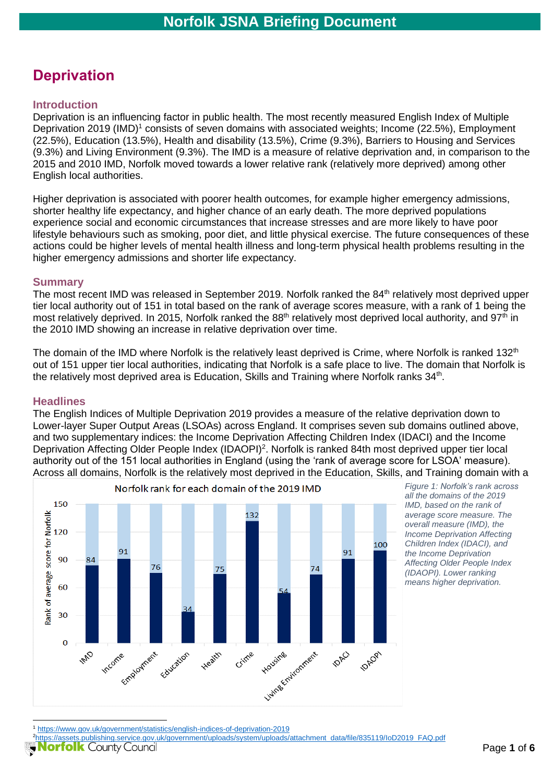# **Deprivation**

#### **Introduction**

Deprivation is an influencing factor in public health. The most recently measured English Index of Multiple Deprivation 2019 (IMD)<sup>1</sup> consists of seven domains with associated weights; Income (22.5%), Employment (22.5%), Education (13.5%), Health and disability (13.5%), Crime (9.3%), Barriers to Housing and Services (9.3%) and Living Environment (9.3%). The IMD is a measure of relative deprivation and, in comparison to the 2015 and 2010 IMD, Norfolk moved towards a lower relative rank (relatively more deprived) among other English local authorities.

Higher deprivation is associated with poorer health outcomes, for example higher emergency admissions, shorter healthy life expectancy, and higher chance of an early death. The more deprived populations experience social and economic circumstances that increase stresses and are more likely to have poor lifestyle behaviours such as smoking, poor diet, and little physical exercise. The future consequences of these actions could be higher levels of mental health illness and long-term physical health problems resulting in the higher emergency admissions and shorter life expectancy.

#### **Summary**

The most recent IMD was released in September 2019. Norfolk ranked the 84<sup>th</sup> relatively most deprived upper tier local authority out of 151 in total based on the rank of average scores measure, with a rank of 1 being the most relatively deprived. In 2015, Norfolk ranked the 88<sup>th</sup> relatively most deprived local authority, and 97<sup>th</sup> in the 2010 IMD showing an increase in relative deprivation over time.

The domain of the IMD where Norfolk is the relatively least deprived is Crime, where Norfolk is ranked 132<sup>th</sup> out of 151 upper tier local authorities, indicating that Norfolk is a safe place to live. The domain that Norfolk is the relatively most deprived area is Education, Skills and Training where Norfolk ranks  $34^{\text{th}}$ .

#### **Headlines**

The English Indices of Multiple Deprivation 2019 provides a measure of the relative deprivation down to Lower-layer Super Output Areas (LSOAs) across England. It comprises seven sub domains outlined above, and two supplementary indices: the Income Deprivation Affecting Children Index (IDACI) and the Income Deprivation Affecting Older People Index (IDAOPI)<sup>2</sup>. Norfolk is ranked 84th most deprived upper tier local authority out of the 151 local authorities in England (using the 'rank of average score for LSOA' measure). Across all domains, Norfolk is the relatively most deprived in the Education, Skills, and Training domain with a



*Figure 1: Norfolk's rank across all the domains of the 2019 IMD, based on the rank of average score measure. The overall measure (IMD), the Income Deprivation Affecting Children Index (IDACI), and the Income Deprivation Affecting Older People Index (IDAOPI). Lower ranking means higher deprivation.*

<sup>2</sup>[https://assets.publishing.service.gov.uk/government/uploads/system/uploads/attachment\\_data/file/835119/IoD2019\\_FAQ.pdf](https://assets.publishing.service.gov.uk/government/uploads/system/uploads/attachment_data/file/835119/IoD2019_FAQ.pdf)

<sup>1</sup> <https://www.gov.uk/government/statistics/english-indices-of-deprivation-2019>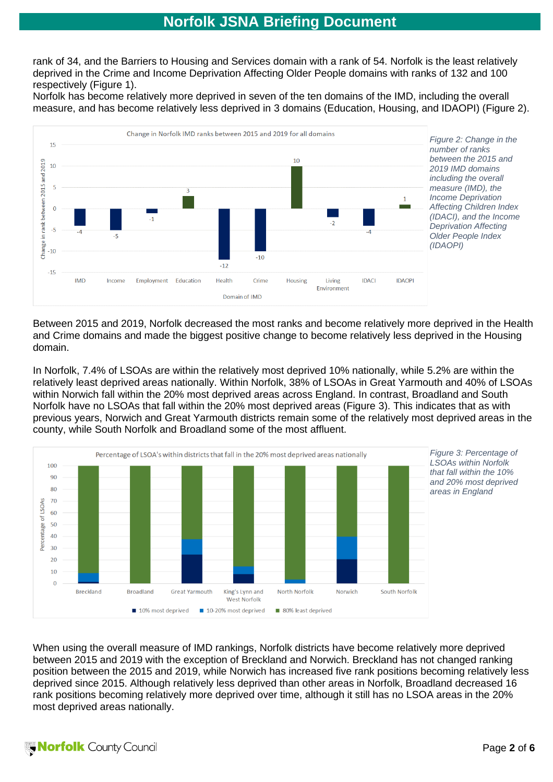rank of 34, and the Barriers to Housing and Services domain with a rank of 54. Norfolk is the least relatively deprived in the Crime and Income Deprivation Affecting Older People domains with ranks of 132 and 100 respectively (Figure 1).

Norfolk has become relatively more deprived in seven of the ten domains of the IMD, including the overall measure, and has become relatively less deprived in 3 domains (Education, Housing, and IDAOPI) (Figure 2).



Between 2015 and 2019, Norfolk decreased the most ranks and become relatively more deprived in the Health and Crime domains and made the biggest positive change to become relatively less deprived in the Housing domain.

In Norfolk, 7.4% of LSOAs are within the relatively most deprived 10% nationally, while 5.2% are within the relatively least deprived areas nationally. Within Norfolk, 38% of LSOAs in Great Yarmouth and 40% of LSOAs within Norwich fall within the 20% most deprived areas across England. In contrast, Broadland and South Norfolk have no LSOAs that fall within the 20% most deprived areas (Figure 3). This indicates that as with previous years, Norwich and Great Yarmouth districts remain some of the relatively most deprived areas in the county, while South Norfolk and Broadland some of the most affluent.



When using the overall measure of IMD rankings, Norfolk districts have become relatively more deprived between 2015 and 2019 with the exception of Breckland and Norwich. Breckland has not changed ranking position between the 2015 and 2019, while Norwich has increased five rank positions becoming relatively less deprived since 2015. Although relatively less deprived than other areas in Norfolk, Broadland decreased 16 rank positions becoming relatively more deprived over time, although it still has no LSOA areas in the 20% most deprived areas nationally.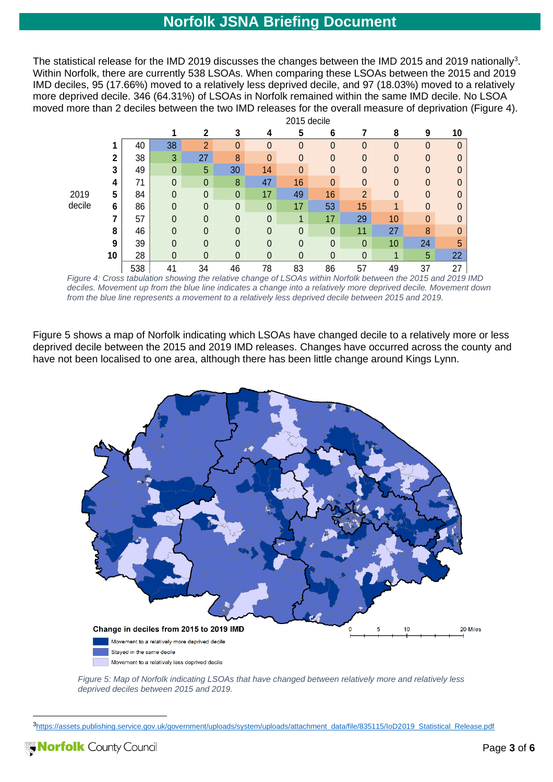The statistical release for the IMD 2019 discusses the changes between the IMD 2015 and 2019 nationally<sup>3</sup>. Within Norfolk, there are currently 538 LSOAs. When comparing these LSOAs between the 2015 and 2019 IMD deciles, 95 (17.66%) moved to a relatively less deprived decile, and 97 (18.03%) moved to a relatively more deprived decile. 346 (64.31%) of LSOAs in Norfolk remained within the same IMD decile. No LSOA moved more than 2 deciles between the two IMD releases for the overall measure of deprivation (Figure 4). 2015 decile

|        |              |     | <b>ZUTO GEVILE</b> |                |                |                |                  |              |                |              |              |                |  |
|--------|--------------|-----|--------------------|----------------|----------------|----------------|------------------|--------------|----------------|--------------|--------------|----------------|--|
|        |              |     |                    | $\mathbf{2}$   | 3              | 4              | 5                | 6            |                | 8            | 9            | 10             |  |
|        |              | 40  | 38                 | $\overline{2}$ | $\mathbf{0}$   | $\mathbf 0$    | 0                | $\mathbf{0}$ | $\mathbf 0$    | 0            | 0            | $\mathbf 0$    |  |
|        | $\mathbf{2}$ | 38  | 3                  | 27             | 8              | $\mathbf{0}$   | $\boldsymbol{0}$ | $\mathbf{0}$ | $\mathbf 0$    | 0            | $\theta$     | 0              |  |
|        | 3            | 49  | $\mathbf 0$        | 5              | 30             | 14             | $\mathbf{0}$     | $\mathbf{0}$ | $\mathbf{0}$   | 0            | $\mathbf{0}$ | $\mathbf 0$    |  |
|        | 4            | 71  | $\mathbf 0$        | $\mathbf 0$    | 8              | 47             | 16               | $\mathbf{0}$ | $\mathbf{0}$   | 0            | $\mathbf{0}$ | $\mathbf 0$    |  |
| 2019   | 5            | 84  | 0                  | $\theta$       | $\theta$       | 17             | 49               | 16           | $\overline{2}$ | $\mathbf{0}$ | $\mathbf{0}$ | $\mathbf 0$    |  |
| decile | 6            | 86  | 0                  | $\mathbf{0}$   | $\theta$       | $\mathbf{0}$   | 17               | 53           | 15             |              | $\mathbf{0}$ | $\overline{0}$ |  |
|        |              | 57  | $\mathbf 0$        | $\mathbf{0}$   | $\mathbf{0}$   | $\mathbf{0}$   | 1                | 17           | 29             | 10           | $\mathbf{0}$ | 0              |  |
|        | 8            | 46  | $\mathbf{0}$       | $\mathbf{0}$   | $\mathbf{0}$   | $\Omega$       | $\mathbf{0}$     | $\mathbf{0}$ | 11             | 27           | 8            | 0              |  |
|        | 9            | 39  | $\mathbf{0}$       | $\mathbf{0}$   | $\overline{0}$ | $\theta$       | $\mathbf{0}$     | $\mathbf{0}$ | $\mathbf 0$    | 10           | 24           | 5              |  |
|        | 10           | 28  | 0                  | $\theta$       | $\overline{0}$ | $\overline{0}$ | $\mathbf{0}$     | $\mathbf 0$  | $\mathbf 0$    | 4            | 5            | 22             |  |
|        |              | 538 | 41                 | 34             | 46             | 78             | 83               | 86           | 57             | 49           | 37           | 27             |  |

*Figure 4: Cross tabulation showing the relative change of LSOAs within Norfolk between the 2015 and 2019 IMD deciles. Movement up from the blue line indicates a change into a relatively more deprived decile. Movement down from the blue line represents a movement to a relatively less deprived decile between 2015 and 2019.*

Figure 5 shows a map of Norfolk indicating which LSOAs have changed decile to a relatively more or less deprived decile between the 2015 and 2019 IMD releases. Changes have occurred across the county and have not been localised to one area, although there has been little change around Kings Lynn.



*Figure 5: Map of Norfolk indicating LSOAs that have changed between relatively more and relatively less deprived deciles between 2015 and 2019.*

<sup>3</sup>[https://assets.publishing.service.gov.uk/government/uploads/system/uploads/attachment\\_data/file/835115/IoD2019\\_Statistical\\_Release.pdf](https://assets.publishing.service.gov.uk/government/uploads/system/uploads/attachment_data/file/835115/IoD2019_Statistical_Release.pdf)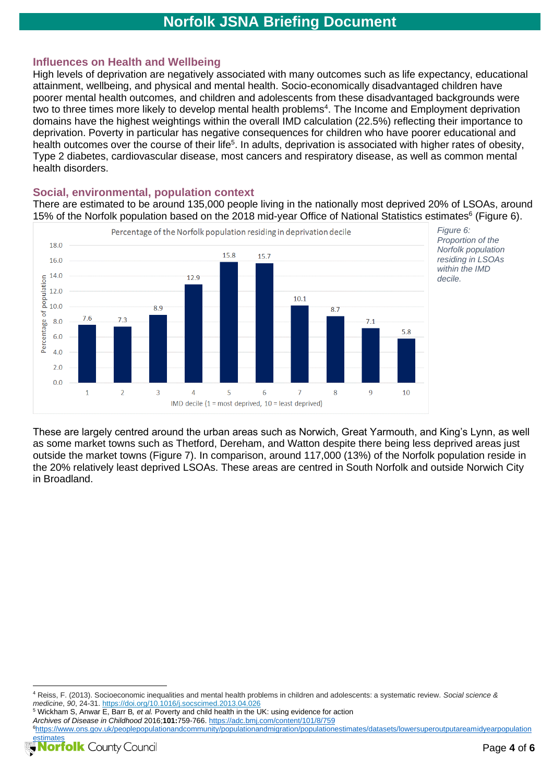### **Influences on Health and Wellbeing**

High levels of deprivation are negatively associated with many outcomes such as life expectancy, educational attainment, wellbeing, and physical and mental health. Socio-economically disadvantaged children have poorer mental health outcomes, and children and adolescents from these disadvantaged backgrounds were two to three times more likely to develop mental health problems<sup>4</sup>. The Income and Employment deprivation domains have the highest weightings within the overall IMD calculation (22.5%) reflecting their importance to deprivation. Poverty in particular has negative consequences for children who have poorer educational and health outcomes over the course of their life<sup>5</sup>. In adults, deprivation is associated with higher rates of obesity, Type 2 diabetes, cardiovascular disease, most cancers and respiratory disease, as well as common mental health disorders.

#### **Social, environmental, population context**

There are estimated to be around 135,000 people living in the nationally most deprived 20% of LSOAs, around 15% of the Norfolk population based on the 2018 mid-year Office of National Statistics estimates<sup>6</sup> (Figure 6).



These are largely centred around the urban areas such as Norwich, Great Yarmouth, and King's Lynn, as well as some market towns such as Thetford, Dereham, and Watton despite there being less deprived areas just outside the market towns (Figure 7). In comparison, around 117,000 (13%) of the Norfolk population reside in the 20% relatively least deprived LSOAs. These areas are centred in South Norfolk and outside Norwich City in Broadland.

<sup>5</sup> Wickham S, Anwar E, Barr B, et al. Poverty and child health in the UK: using evidence for action *Archives of Disease in Childhood* 2016;**101:**759-766.<https://adc.bmj.com/content/101/8/759>

<sup>6</sup>[https://www.ons.gov.uk/peoplepopulationandcommunity/populationandmigration/populationestimates/datasets/lowersuperoutputareamidyearpopulation](https://www.ons.gov.uk/peoplepopulationandcommunity/populationandmigration/populationestimates/datasets/lowersuperoutputareamidyearpopulationestimates) [estimates](https://www.ons.gov.uk/peoplepopulationandcommunity/populationandmigration/populationestimates/datasets/lowersuperoutputareamidyearpopulationestimates)



<sup>4</sup> Reiss, F. (2013). Socioeconomic inequalities and mental health problems in children and adolescents: a systematic review. *Social science & medicine*, *90*, 24-31.<https://doi.org/10.1016/j.socscimed.2013.04.026>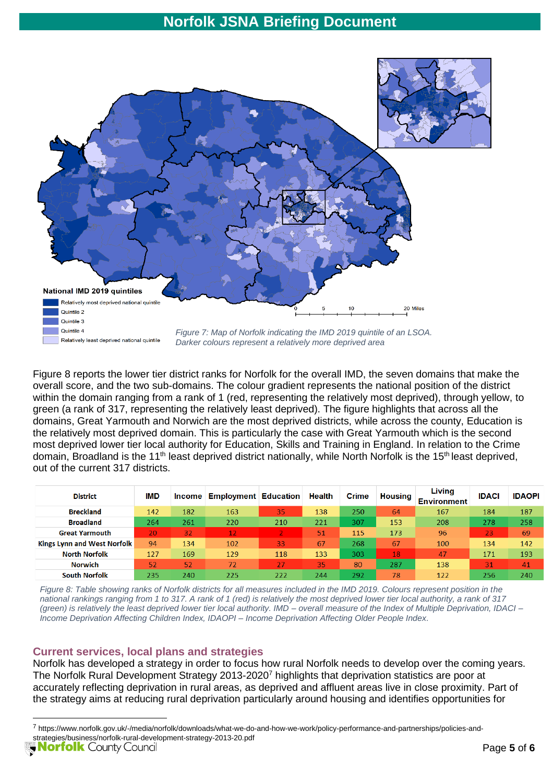

*Figure 7: Map of Norfolk indicating the IMD 2019 quintile of an LSOA. Darker colours represent a relatively more deprived area*

Figure 8 reports the lower tier district ranks for Norfolk for the overall IMD, the seven domains that make the overall score, and the two sub-domains. The colour gradient represents the national position of the district within the domain ranging from a rank of 1 (red, representing the relatively most deprived), through yellow, to green (a rank of 317, representing the relatively least deprived). The figure highlights that across all the domains, Great Yarmouth and Norwich are the most deprived districts, while across the county, Education is the relatively most deprived domain. This is particularly the case with Great Yarmouth which is the second most deprived lower tier local authority for Education, Skills and Training in England. In relation to the Crime domain, Broadland is the 11<sup>th</sup> least deprived district nationally, while North Norfolk is the 15<sup>th</sup> least deprived, out of the current 317 districts.

| <b>District</b>                    | <b>IMD</b> | <b>Income</b> | <b>Employment Education</b> |     | <b>Health</b> | <b>Crime</b> | Housing | Living<br><b>Environment</b> | <b>IDACI</b> | <b>IDAOPI</b> |
|------------------------------------|------------|---------------|-----------------------------|-----|---------------|--------------|---------|------------------------------|--------------|---------------|
| <b>Breckland</b>                   | 142        | 182           | 163                         | 35  | 138           | 250          | 64      | 167                          | 184          | 187           |
| <b>Broadland</b>                   | 264        | 261           | 220                         | 210 | 221           | 307          | 153     | 208                          | 278          | 258           |
| <b>Great Yarmouth</b>              | 20         | 32            | 12                          |     | 51            | 115          | 173     | 96                           | 23           | 69            |
| <b>Kings Lynn and West Norfolk</b> | 94         | 134           | 102                         | 33  | 67            | 268          | 67      | 100                          | 134          | 142           |
| <b>North Norfolk</b>               | 127        | 169           | 129                         | 118 | 133           | 303          | 18      | 47                           | 171          | 193           |
| <b>Norwich</b>                     | 52         | 52            | 72                          | 27  | 35            | 80           | 287     | 138                          | 31           | 41            |
| <b>South Norfolk</b>               | 235        | 240           | 225                         | 222 | 244           | 292          | 78      | 122                          | 256          | 240           |

*Figure 8: Table showing ranks of Norfolk districts for all measures included in the IMD 2019. Colours represent position in the national rankings ranging from 1 to 317. A rank of 1 (red) is relatively the most deprived lower tier local authority, a rank of 317 (green) is relatively the least deprived lower tier local authority. IMD – overall measure of the Index of Multiple Deprivation, IDACI – Income Deprivation Affecting Children Index, IDAOPI – Income Deprivation Affecting Older People Index.*

### **Current services, local plans and strategies**

Norfolk has developed a strategy in order to focus how rural Norfolk needs to develop over the coming years. The Norfolk Rural Development Strategy 2013-2020<sup>7</sup> highlights that deprivation statistics are poor at accurately reflecting deprivation in rural areas, as deprived and affluent areas live in close proximity. Part of the strategy aims at reducing rural deprivation particularly around housing and identifies opportunities for

Relatively least deprived national quintile

<sup>7</sup> https://www.norfolk.gov.uk/-/media/norfolk/downloads/what-we-do-and-how-we-work/policy-performance-and-partnerships/policies-andstrategies/business/norfolk-rural-development-strategy-2013-20.pdf